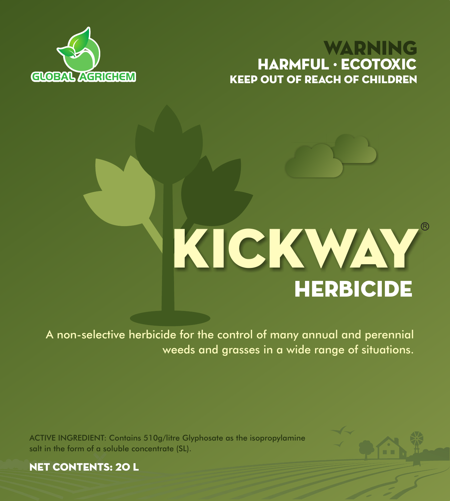## KEEP OUT OF REACH OF CHILDREN WARNING HARMFUL · ECOTOXIC



# **HERBICIDE** KICKWAY

A non-selective herbicide for the control of many annual and perennial weeds and grasses in a wide range of situations.

ACTIVE INGREDIENT: Contains 510g/litre Glyphosate as the isopropylamine salt in the form of a soluble concentrate (SL).



NET CONTENTS: 20 l